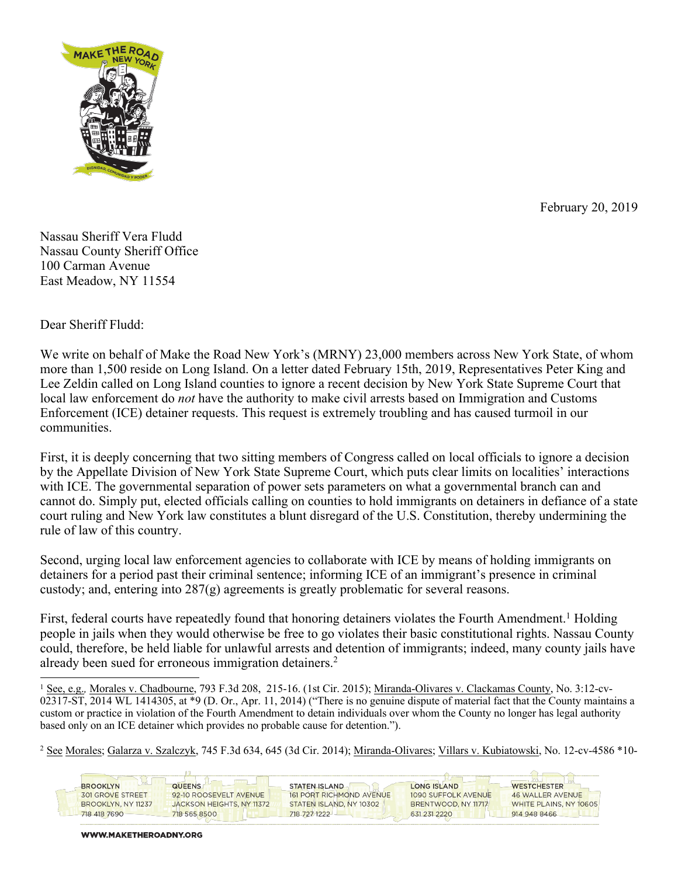

February 20, 2019

Nassau Sheriff Vera Fludd Nassau County Sheriff Office 100 Carman Avenue East Meadow, NY 11554

Dear Sheriff Fludd:

-

We write on behalf of Make the Road New York's (MRNY) 23,000 members across New York State, of whom more than 1,500 reside on Long Island. On a letter dated February 15th, 2019, Representatives Peter King and Lee Zeldin called on Long Island counties to ignore a recent decision by New York State Supreme Court that local law enforcement do *not* have the authority to make civil arrests based on Immigration and Customs Enforcement (ICE) detainer requests. This request is extremely troubling and has caused turmoil in our communities.

First, it is deeply concerning that two sitting members of Congress called on local officials to ignore a decision by the Appellate Division of New York State Supreme Court, which puts clear limits on localities' interactions with ICE. The governmental separation of power sets parameters on what a governmental branch can and cannot do. Simply put, elected officials calling on counties to hold immigrants on detainers in defiance of a state court ruling and New York law constitutes a blunt disregard of the U.S. Constitution, thereby undermining the rule of law of this country.

Second, urging local law enforcement agencies to collaborate with ICE by means of holding immigrants on detainers for a period past their criminal sentence; informing ICE of an immigrant's presence in criminal custody; and, entering into 287(g) agreements is greatly problematic for several reasons.

First, federal courts have repeatedly found that honoring detainers violates the Fourth Amendment.<sup>1</sup> Holding people in jails when they would otherwise be free to go violates their basic constitutional rights. Nassau County could, therefore, be held liable for unlawful arrests and detention of immigrants; indeed, many county jails have already been sued for erroneous immigration detainers.<sup>2</sup>

<sup>1</sup> See, e.g., Morales v. Chadbourne, 793 F.3d 208, 215-16. (1st Cir. 2015); Miranda-Olivares v. Clackamas County, No. 3:12-cv-02317-ST, 2014 WL 1414305, at \*9 (D. Or., Apr. 11, 2014) ("There is no genuine dispute of material fact that the County maintains a custom or practice in violation of the Fourth Amendment to detain individuals over whom the County no longer has legal authority based only on an ICE detainer which provides no probable cause for detention.").

<sup>2</sup> See Morales; Galarza v. Szalczyk, 745 F.3d 634, 645 (3d Cir. 2014); Miranda-Olivares; Villars v. Kubiatowski, No. 12-cv-4586 \*10-

| <b>BROOKLYN</b>         | <b>QUEENS</b>             | <b>STATEN ISLAND</b>            | <b>LONG ISLAND</b>  | <b>WESTCHESTER</b>      |
|-------------------------|---------------------------|---------------------------------|---------------------|-------------------------|
| <b>301 GROVE STREET</b> | 92-10 ROOSEVELT AVENUE    | <b>161 PORT RICHMOND AVENUE</b> | 1090 SUFFOLK AVENUE | <b>46 WALLER AVENUE</b> |
| BROOKLYN, NY 11237      | JACKSON HEIGHTS, NY 11372 | STATEN ISLAND, NY 10302         | BRENTWOOD, NY 11717 | WHITE PLAINS, NY 10605  |
| 718 418 7690            | 718 565 8500              | 718 727 1222                    | 631 231 2220        | 914 948 8466            |
|                         |                           |                                 |                     |                         |

WWW.MAKETHEROADNY.ORG